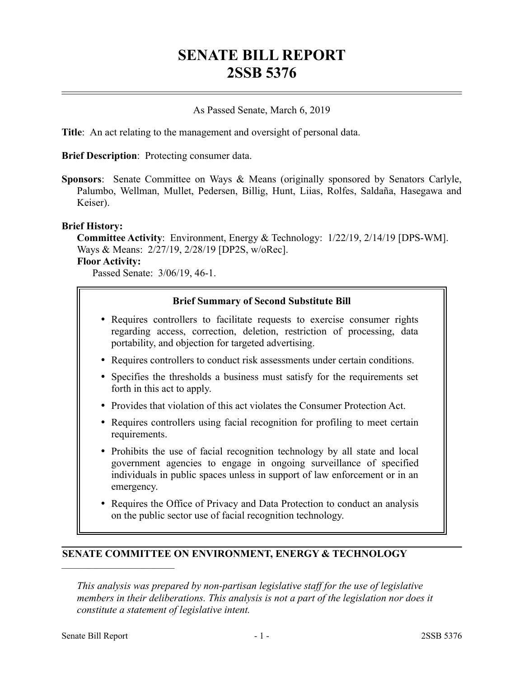# **SENATE BILL REPORT 2SSB 5376**

#### As Passed Senate, March 6, 2019

**Title**: An act relating to the management and oversight of personal data.

**Brief Description**: Protecting consumer data.

**Sponsors**: Senate Committee on Ways & Means (originally sponsored by Senators Carlyle, Palumbo, Wellman, Mullet, Pedersen, Billig, Hunt, Liias, Rolfes, Saldaña, Hasegawa and Keiser).

#### **Brief History:**

**Committee Activity**: Environment, Energy & Technology: 1/22/19, 2/14/19 [DPS-WM]. Ways & Means: 2/27/19, 2/28/19 [DP2S, w/oRec].

#### **Floor Activity:**

Passed Senate: 3/06/19, 46-1.

#### **Brief Summary of Second Substitute Bill**

- Requires controllers to facilitate requests to exercise consumer rights regarding access, correction, deletion, restriction of processing, data portability, and objection for targeted advertising.
- Requires controllers to conduct risk assessments under certain conditions.
- Specifies the thresholds a business must satisfy for the requirements set forth in this act to apply.
- Provides that violation of this act violates the Consumer Protection Act.
- Requires controllers using facial recognition for profiling to meet certain requirements.
- Prohibits the use of facial recognition technology by all state and local government agencies to engage in ongoing surveillance of specified individuals in public spaces unless in support of law enforcement or in an emergency.
- Requires the Office of Privacy and Data Protection to conduct an analysis on the public sector use of facial recognition technology.

#### **SENATE COMMITTEE ON ENVIRONMENT, ENERGY & TECHNOLOGY**

*This analysis was prepared by non-partisan legislative staff for the use of legislative members in their deliberations. This analysis is not a part of the legislation nor does it constitute a statement of legislative intent.*

––––––––––––––––––––––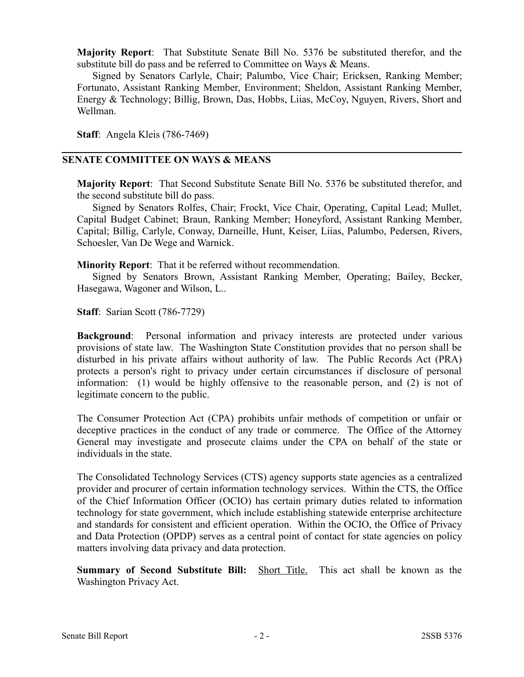**Majority Report**: That Substitute Senate Bill No. 5376 be substituted therefor, and the substitute bill do pass and be referred to Committee on Ways & Means.

Signed by Senators Carlyle, Chair; Palumbo, Vice Chair; Ericksen, Ranking Member; Fortunato, Assistant Ranking Member, Environment; Sheldon, Assistant Ranking Member, Energy & Technology; Billig, Brown, Das, Hobbs, Liias, McCoy, Nguyen, Rivers, Short and Wellman.

**Staff**: Angela Kleis (786-7469)

#### **SENATE COMMITTEE ON WAYS & MEANS**

**Majority Report**: That Second Substitute Senate Bill No. 5376 be substituted therefor, and the second substitute bill do pass.

Signed by Senators Rolfes, Chair; Frockt, Vice Chair, Operating, Capital Lead; Mullet, Capital Budget Cabinet; Braun, Ranking Member; Honeyford, Assistant Ranking Member, Capital; Billig, Carlyle, Conway, Darneille, Hunt, Keiser, Liias, Palumbo, Pedersen, Rivers, Schoesler, Van De Wege and Warnick.

**Minority Report**: That it be referred without recommendation.

Signed by Senators Brown, Assistant Ranking Member, Operating; Bailey, Becker, Hasegawa, Wagoner and Wilson, L..

**Staff**: Sarian Scott (786-7729)

**Background**: Personal information and privacy interests are protected under various provisions of state law. The Washington State Constitution provides that no person shall be disturbed in his private affairs without authority of law. The Public Records Act (PRA) protects a person's right to privacy under certain circumstances if disclosure of personal information: (1) would be highly offensive to the reasonable person, and (2) is not of legitimate concern to the public.

The Consumer Protection Act (CPA) prohibits unfair methods of competition or unfair or deceptive practices in the conduct of any trade or commerce. The Office of the Attorney General may investigate and prosecute claims under the CPA on behalf of the state or individuals in the state.

The Consolidated Technology Services (CTS) agency supports state agencies as a centralized provider and procurer of certain information technology services. Within the CTS, the Office of the Chief Information Officer (OCIO) has certain primary duties related to information technology for state government, which include establishing statewide enterprise architecture and standards for consistent and efficient operation. Within the OCIO, the Office of Privacy and Data Protection (OPDP) serves as a central point of contact for state agencies on policy matters involving data privacy and data protection.

**Summary of Second Substitute Bill:** Short Title. This act shall be known as the Washington Privacy Act.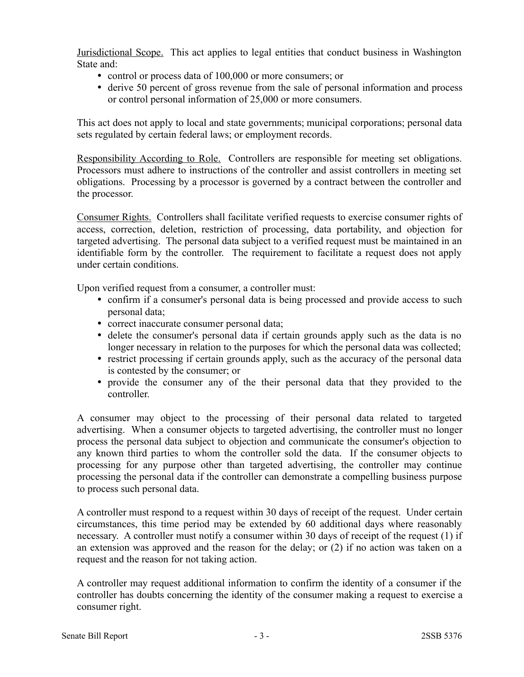Jurisdictional Scope. This act applies to legal entities that conduct business in Washington State and:

- control or process data of 100,000 or more consumers; or
- derive 50 percent of gross revenue from the sale of personal information and process or control personal information of 25,000 or more consumers.

This act does not apply to local and state governments; municipal corporations; personal data sets regulated by certain federal laws; or employment records.

Responsibility According to Role. Controllers are responsible for meeting set obligations. Processors must adhere to instructions of the controller and assist controllers in meeting set obligations. Processing by a processor is governed by a contract between the controller and the processor.

Consumer Rights. Controllers shall facilitate verified requests to exercise consumer rights of access, correction, deletion, restriction of processing, data portability, and objection for targeted advertising. The personal data subject to a verified request must be maintained in an identifiable form by the controller. The requirement to facilitate a request does not apply under certain conditions.

Upon verified request from a consumer, a controller must:

- confirm if a consumer's personal data is being processed and provide access to such personal data;
- correct inaccurate consumer personal data;
- delete the consumer's personal data if certain grounds apply such as the data is no longer necessary in relation to the purposes for which the personal data was collected;
- restrict processing if certain grounds apply, such as the accuracy of the personal data is contested by the consumer; or
- provide the consumer any of the their personal data that they provided to the controller.

A consumer may object to the processing of their personal data related to targeted advertising. When a consumer objects to targeted advertising, the controller must no longer process the personal data subject to objection and communicate the consumer's objection to any known third parties to whom the controller sold the data. If the consumer objects to processing for any purpose other than targeted advertising, the controller may continue processing the personal data if the controller can demonstrate a compelling business purpose to process such personal data.

A controller must respond to a request within 30 days of receipt of the request. Under certain circumstances, this time period may be extended by 60 additional days where reasonably necessary. A controller must notify a consumer within 30 days of receipt of the request (1) if an extension was approved and the reason for the delay; or (2) if no action was taken on a request and the reason for not taking action.

A controller may request additional information to confirm the identity of a consumer if the controller has doubts concerning the identity of the consumer making a request to exercise a consumer right.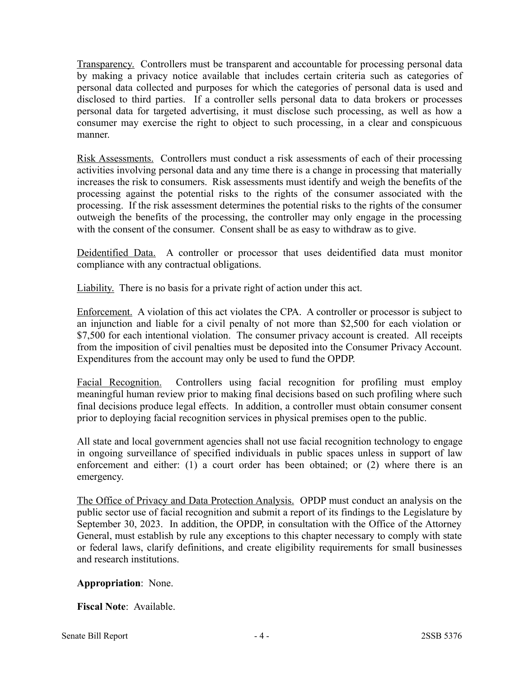Transparency. Controllers must be transparent and accountable for processing personal data by making a privacy notice available that includes certain criteria such as categories of personal data collected and purposes for which the categories of personal data is used and disclosed to third parties. If a controller sells personal data to data brokers or processes personal data for targeted advertising, it must disclose such processing, as well as how a consumer may exercise the right to object to such processing, in a clear and conspicuous manner.

Risk Assessments. Controllers must conduct a risk assessments of each of their processing activities involving personal data and any time there is a change in processing that materially increases the risk to consumers. Risk assessments must identify and weigh the benefits of the processing against the potential risks to the rights of the consumer associated with the processing. If the risk assessment determines the potential risks to the rights of the consumer outweigh the benefits of the processing, the controller may only engage in the processing with the consent of the consumer. Consent shall be as easy to withdraw as to give.

Deidentified Data. A controller or processor that uses deidentified data must monitor compliance with any contractual obligations.

Liability. There is no basis for a private right of action under this act.

Enforcement. A violation of this act violates the CPA. A controller or processor is subject to an injunction and liable for a civil penalty of not more than \$2,500 for each violation or \$7,500 for each intentional violation. The consumer privacy account is created. All receipts from the imposition of civil penalties must be deposited into the Consumer Privacy Account. Expenditures from the account may only be used to fund the OPDP.

Facial Recognition. Controllers using facial recognition for profiling must employ meaningful human review prior to making final decisions based on such profiling where such final decisions produce legal effects. In addition, a controller must obtain consumer consent prior to deploying facial recognition services in physical premises open to the public.

All state and local government agencies shall not use facial recognition technology to engage in ongoing surveillance of specified individuals in public spaces unless in support of law enforcement and either: (1) a court order has been obtained; or (2) where there is an emergency.

The Office of Privacy and Data Protection Analysis. OPDP must conduct an analysis on the public sector use of facial recognition and submit a report of its findings to the Legislature by September 30, 2023. In addition, the OPDP, in consultation with the Office of the Attorney General, must establish by rule any exceptions to this chapter necessary to comply with state or federal laws, clarify definitions, and create eligibility requirements for small businesses and research institutions.

## **Appropriation**: None.

**Fiscal Note**: Available.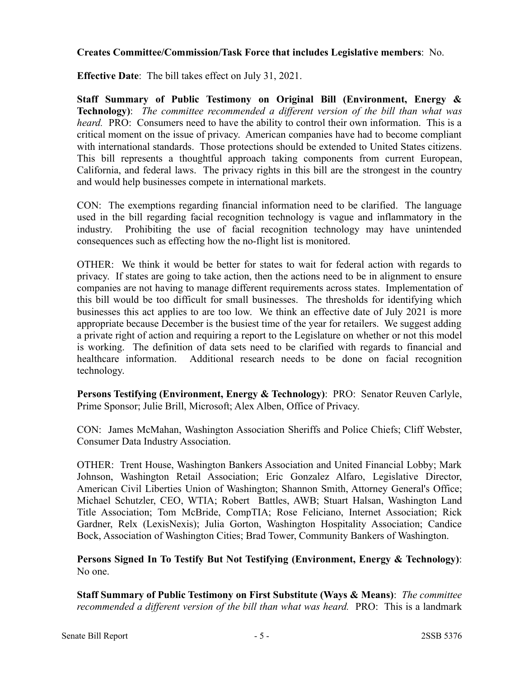### **Creates Committee/Commission/Task Force that includes Legislative members**: No.

**Effective Date**: The bill takes effect on July 31, 2021.

**Staff Summary of Public Testimony on Original Bill (Environment, Energy & Technology)**: *The committee recommended a different version of the bill than what was heard.* PRO: Consumers need to have the ability to control their own information. This is a critical moment on the issue of privacy. American companies have had to become compliant with international standards. Those protections should be extended to United States citizens. This bill represents a thoughtful approach taking components from current European, California, and federal laws. The privacy rights in this bill are the strongest in the country and would help businesses compete in international markets.

CON: The exemptions regarding financial information need to be clarified. The language used in the bill regarding facial recognition technology is vague and inflammatory in the industry. Prohibiting the use of facial recognition technology may have unintended consequences such as effecting how the no-flight list is monitored.

OTHER: We think it would be better for states to wait for federal action with regards to privacy. If states are going to take action, then the actions need to be in alignment to ensure companies are not having to manage different requirements across states. Implementation of this bill would be too difficult for small businesses. The thresholds for identifying which businesses this act applies to are too low. We think an effective date of July 2021 is more appropriate because December is the busiest time of the year for retailers. We suggest adding a private right of action and requiring a report to the Legislature on whether or not this model is working. The definition of data sets need to be clarified with regards to financial and healthcare information. Additional research needs to be done on facial recognition technology.

**Persons Testifying (Environment, Energy & Technology)**: PRO: Senator Reuven Carlyle, Prime Sponsor; Julie Brill, Microsoft; Alex Alben, Office of Privacy.

CON: James McMahan, Washington Association Sheriffs and Police Chiefs; Cliff Webster, Consumer Data Industry Association.

OTHER: Trent House, Washington Bankers Association and United Financial Lobby; Mark Johnson, Washington Retail Association; Eric Gonzalez Alfaro, Legislative Director, American Civil Liberties Union of Washington; Shannon Smith, Attorney General's Office; Michael Schutzler, CEO, WTIA; Robert Battles, AWB; Stuart Halsan, Washington Land Title Association; Tom McBride, CompTIA; Rose Feliciano, Internet Association; Rick Gardner, Relx (LexisNexis); Julia Gorton, Washington Hospitality Association; Candice Bock, Association of Washington Cities; Brad Tower, Community Bankers of Washington.

**Persons Signed In To Testify But Not Testifying (Environment, Energy & Technology)**: No one.

**Staff Summary of Public Testimony on First Substitute (Ways & Means)**: *The committee recommended a different version of the bill than what was heard.* PRO: This is a landmark